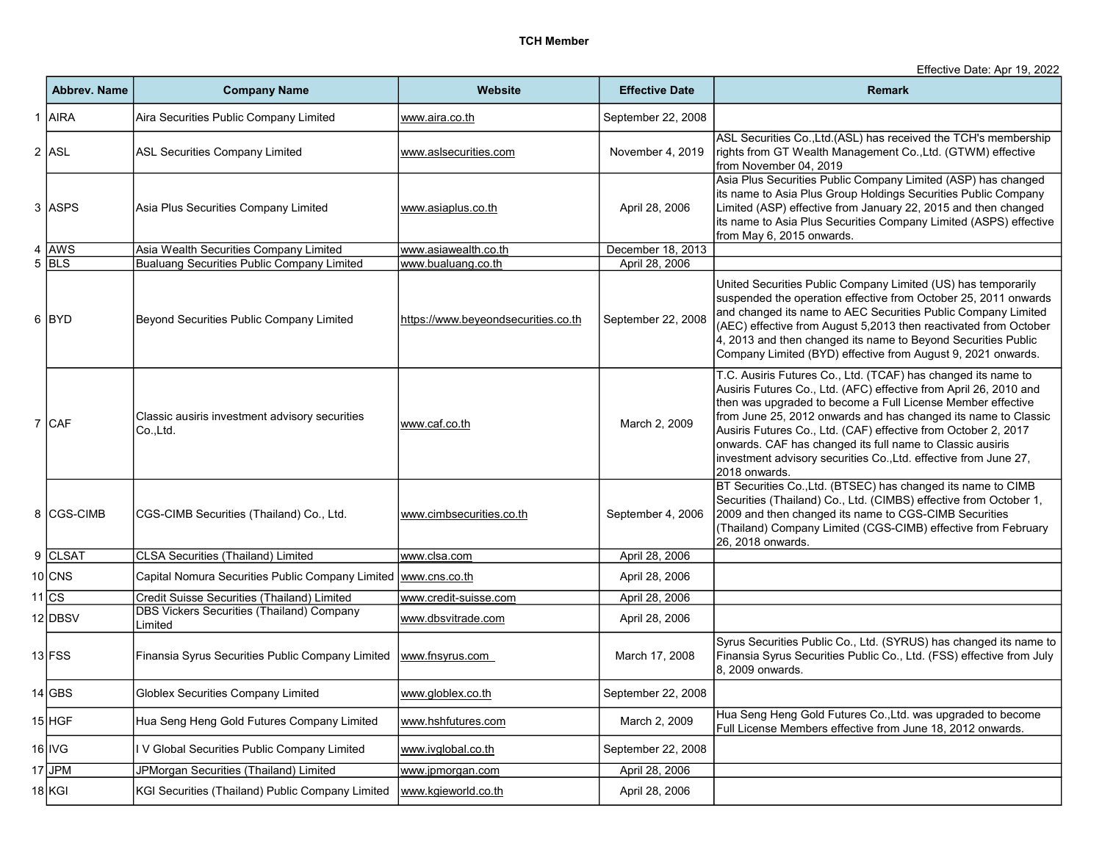Effective Date: Apr 19, 2022

| <b>Abbrev. Name</b> | <b>Company Name</b>                                         | <b>Website</b>                      | <b>Effective Date</b> | <b>Remark</b>                                                                                                                                                                                                                                                                                                                                                                                                                                                                           |
|---------------------|-------------------------------------------------------------|-------------------------------------|-----------------------|-----------------------------------------------------------------------------------------------------------------------------------------------------------------------------------------------------------------------------------------------------------------------------------------------------------------------------------------------------------------------------------------------------------------------------------------------------------------------------------------|
| 1 AIRA              | Aira Securities Public Company Limited                      | www.aira.co.th                      | September 22, 2008    |                                                                                                                                                                                                                                                                                                                                                                                                                                                                                         |
| 2 ASL               | <b>ASL Securities Company Limited</b>                       | www.aslsecurities.com               | November 4, 2019      | ASL Securities Co., Ltd. (ASL) has received the TCH's membership<br>rights from GT Wealth Management Co., Ltd. (GTWM) effective<br>from November 04, 2019                                                                                                                                                                                                                                                                                                                               |
| 3 ASPS              | Asia Plus Securities Company Limited                        | www.asiaplus.co.th                  | April 28, 2006        | Asia Plus Securities Public Company Limited (ASP) has changed<br>its name to Asia Plus Group Holdings Securities Public Company<br>Limited (ASP) effective from January 22, 2015 and then changed<br>its name to Asia Plus Securities Company Limited (ASPS) effective<br>from May 6, 2015 onwards.                                                                                                                                                                                     |
| 4 AWS               | Asia Wealth Securities Company Limited                      | www.asiawealth.co.th                | December 18, 2013     |                                                                                                                                                                                                                                                                                                                                                                                                                                                                                         |
| $5$ BLS             | Bualuang Securities Public Company Limited                  | www.bualuang.co.th                  | April 28, 2006        |                                                                                                                                                                                                                                                                                                                                                                                                                                                                                         |
| 6 BYD               | Beyond Securities Public Company Limited                    | https://www.beyeondsecurities.co.th | September 22, 2008    | United Securities Public Company Limited (US) has temporarily<br>suspended the operation effective from October 25, 2011 onwards<br>and changed its name to AEC Securities Public Company Limited<br>(AEC) effective from August 5,2013 then reactivated from October<br>4, 2013 and then changed its name to Beyond Securities Public<br>Company Limited (BYD) effective from August 9, 2021 onwards.                                                                                  |
| 7 CAF               | Classic ausiris investment advisory securities<br>Co.,Ltd.  | www.caf.co.th                       | March 2, 2009         | T.C. Ausiris Futures Co., Ltd. (TCAF) has changed its name to<br>Ausiris Futures Co., Ltd. (AFC) effective from April 26, 2010 and<br>then was upgraded to become a Full License Member effective<br>from June 25, 2012 onwards and has changed its name to Classic<br>Ausiris Futures Co., Ltd. (CAF) effective from October 2, 2017<br>onwards. CAF has changed its full name to Classic ausiris<br>investment advisory securities Co., Ltd. effective from June 27,<br>2018 onwards. |
| 8 CGS-CIMB          | CGS-CIMB Securities (Thailand) Co., Ltd.                    | www.cimbsecurities.co.th            | September 4, 2006     | BT Securities Co., Ltd. (BTSEC) has changed its name to CIMB<br>Securities (Thailand) Co., Ltd. (CIMBS) effective from October 1,<br>2009 and then changed its name to CGS-CIMB Securities<br>(Thailand) Company Limited (CGS-CIMB) effective from February<br>26, 2018 onwards.                                                                                                                                                                                                        |
| 9 CLSAT             | <b>CLSA Securities (Thailand) Limited</b>                   | www.clsa.com                        | April 28, 2006        |                                                                                                                                                                                                                                                                                                                                                                                                                                                                                         |
| 10 CNS              | Capital Nomura Securities Public Company Limited            | www.cns.co.th                       | April 28, 2006        |                                                                                                                                                                                                                                                                                                                                                                                                                                                                                         |
| $11$ CS             | Credit Suisse Securities (Thailand) Limited                 | www.credit-suisse.com               | April 28, 2006        |                                                                                                                                                                                                                                                                                                                                                                                                                                                                                         |
| 12 DBSV             | <b>DBS Vickers Securities (Thailand) Company</b><br>Limited | www.dbsvitrade.com                  | April 28, 2006        |                                                                                                                                                                                                                                                                                                                                                                                                                                                                                         |
| 13 FSS              | Finansia Syrus Securities Public Company Limited            | www.fnsyrus.com                     | March 17, 2008        | Syrus Securities Public Co., Ltd. (SYRUS) has changed its name to<br>Finansia Syrus Securities Public Co., Ltd. (FSS) effective from July<br>8, 2009 onwards.                                                                                                                                                                                                                                                                                                                           |
| 14 GBS              | <b>Globlex Securities Company Limited</b>                   | www.globlex.co.th                   | September 22, 2008    |                                                                                                                                                                                                                                                                                                                                                                                                                                                                                         |
| 15 HGF              | Hua Seng Heng Gold Futures Company Limited                  | www.hshfutures.com                  | March 2, 2009         | Hua Seng Heng Gold Futures Co., Ltd. was upgraded to become<br>Full License Members effective from June 18, 2012 onwards.                                                                                                                                                                                                                                                                                                                                                               |
| 16 IVG              | V Global Securities Public Company Limited                  | www.ivglobal.co.th                  | September 22, 2008    |                                                                                                                                                                                                                                                                                                                                                                                                                                                                                         |
| $17$ JPM            | JPMorgan Securities (Thailand) Limited                      | www.jpmorgan.com                    | April 28, 2006        |                                                                                                                                                                                                                                                                                                                                                                                                                                                                                         |
| 18 KGI              | KGI Securities (Thailand) Public Company Limited            | www.kgieworld.co.th                 | April 28, 2006        |                                                                                                                                                                                                                                                                                                                                                                                                                                                                                         |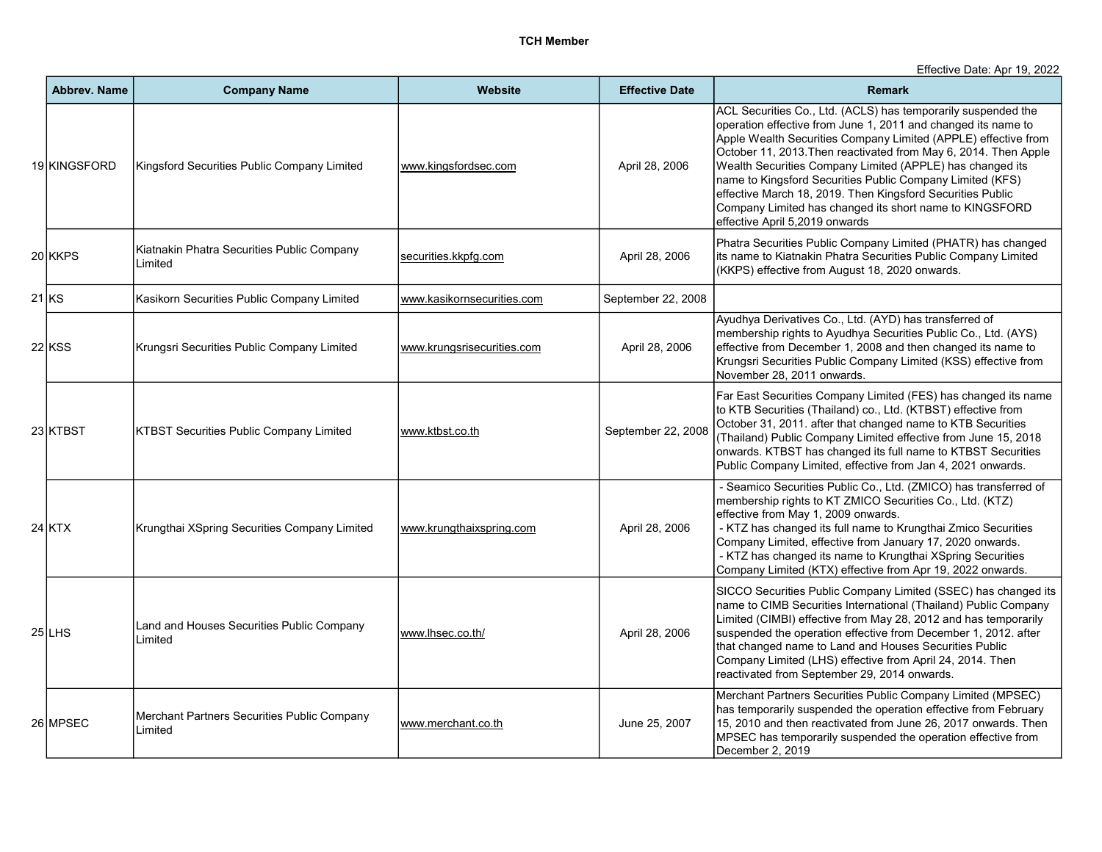Effective Date: Apr 19, 2022

|       | <b>Abbrev. Name</b> | <b>Company Name</b>                                    | Website                    | <b>Effective Date</b> | <b>Remark</b>                                                                                                                                                                                                                                                                                                                                                                                                                                                                                                                                            |
|-------|---------------------|--------------------------------------------------------|----------------------------|-----------------------|----------------------------------------------------------------------------------------------------------------------------------------------------------------------------------------------------------------------------------------------------------------------------------------------------------------------------------------------------------------------------------------------------------------------------------------------------------------------------------------------------------------------------------------------------------|
|       | 19 KINGSFORD        | Kingsford Securities Public Company Limited            | www.kingsfordsec.com       | April 28, 2006        | ACL Securities Co., Ltd. (ACLS) has temporarily suspended the<br>operation effective from June 1, 2011 and changed its name to<br>Apple Wealth Securities Company Limited (APPLE) effective from<br>October 11, 2013. Then reactivated from May 6, 2014. Then Apple<br>Wealth Securities Company Limited (APPLE) has changed its<br>name to Kingsford Securities Public Company Limited (KFS)<br>effective March 18, 2019. Then Kingsford Securities Public<br>Company Limited has changed its short name to KINGSFORD<br>effective April 5,2019 onwards |
|       | 20 KKPS             | Kiatnakin Phatra Securities Public Company<br>Limited  | securities.kkpfg.com       | April 28, 2006        | Phatra Securities Public Company Limited (PHATR) has changed<br>its name to Kiatnakin Phatra Securities Public Company Limited<br>(KKPS) effective from August 18, 2020 onwards.                                                                                                                                                                                                                                                                                                                                                                         |
| 21 KS |                     | Kasikorn Securities Public Company Limited             | www.kasikornsecurities.com | September 22, 2008    |                                                                                                                                                                                                                                                                                                                                                                                                                                                                                                                                                          |
|       | 22 KSS              | Krungsri Securities Public Company Limited             | www.krungsrisecurities.com | April 28, 2006        | Ayudhya Derivatives Co., Ltd. (AYD) has transferred of<br>membership rights to Ayudhya Securities Public Co., Ltd. (AYS)<br>effective from December 1, 2008 and then changed its name to<br>Krungsri Securities Public Company Limited (KSS) effective from<br>November 28, 2011 onwards.                                                                                                                                                                                                                                                                |
|       | 23 KTBST            | <b>KTBST Securities Public Company Limited</b>         | www.ktbst.co.th            | September 22, 2008    | Far East Securities Company Limited (FES) has changed its name<br>to KTB Securities (Thailand) co., Ltd. (KTBST) effective from<br>October 31, 2011. after that changed name to KTB Securities<br>(Thailand) Public Company Limited effective from June 15, 2018<br>onwards. KTBST has changed its full name to KTBST Securities<br>Public Company Limited, effective from Jan 4, 2021 onwards.                                                                                                                                                          |
|       | <b>24 KTX</b>       | Krungthai XSpring Securities Company Limited           | www.krungthaixspring.com   | April 28, 2006        | - Seamico Securities Public Co., Ltd. (ZMICO) has transferred of<br>membership rights to KT ZMICO Securities Co., Ltd. (KTZ)<br>effective from May 1, 2009 onwards.<br>- KTZ has changed its full name to Krungthai Zmico Securities<br>Company Limited, effective from January 17, 2020 onwards.<br>- KTZ has changed its name to Krungthai XSpring Securities<br>Company Limited (KTX) effective from Apr 19, 2022 onwards.                                                                                                                            |
|       | 25 LHS              | Land and Houses Securities Public Company<br>Limited   | www.lhsec.co.th/           | April 28, 2006        | SICCO Securities Public Company Limited (SSEC) has changed its<br>name to CIMB Securities International (Thailand) Public Company<br>Limited (CIMBI) effective from May 28, 2012 and has temporarily<br>suspended the operation effective from December 1, 2012. after<br>that changed name to Land and Houses Securities Public<br>Company Limited (LHS) effective from April 24, 2014. Then<br>reactivated from September 29, 2014 onwards.                                                                                                            |
|       | 26 MPSEC            | Merchant Partners Securities Public Company<br>Limited | www.merchant.co.th         | June 25, 2007         | Merchant Partners Securities Public Company Limited (MPSEC)<br>has temporarily suspended the operation effective from February<br>15, 2010 and then reactivated from June 26, 2017 onwards. Then<br>MPSEC has temporarily suspended the operation effective from<br>December 2, 2019                                                                                                                                                                                                                                                                     |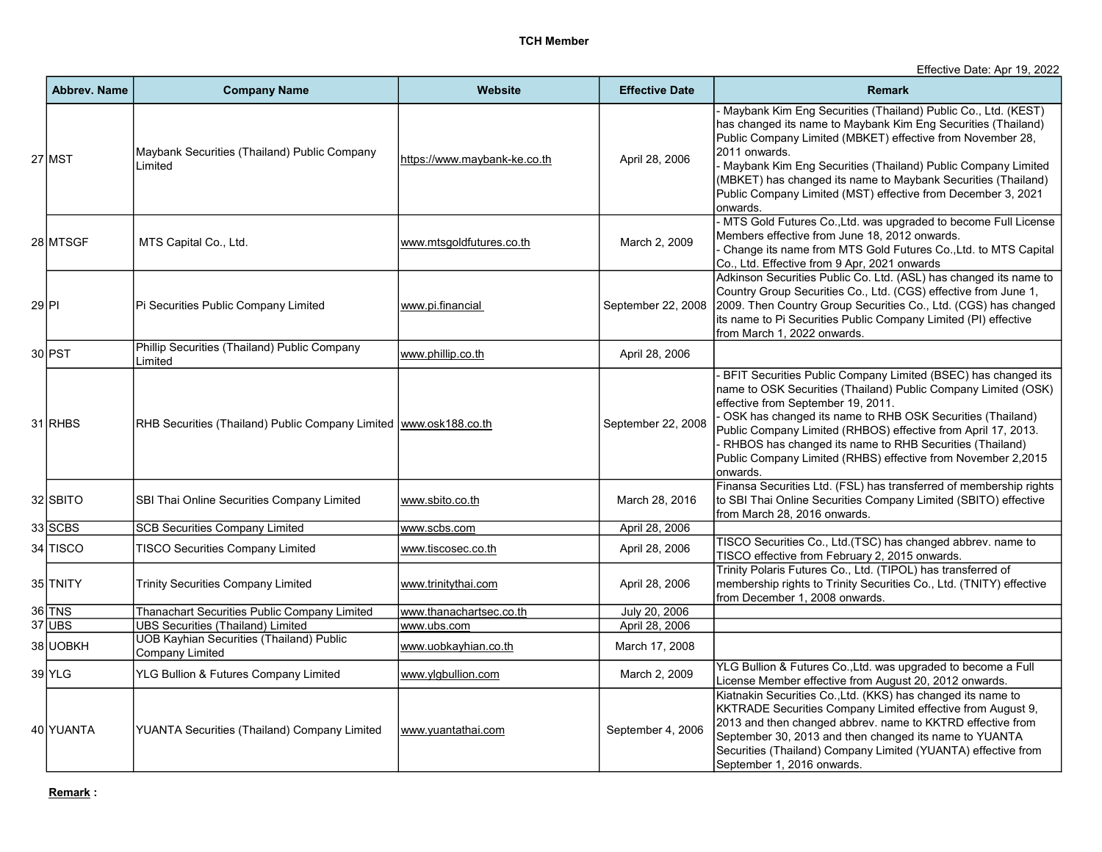Effective Date: Apr 19, 2022

|       | <b>Abbrev. Name</b> | <b>Company Name</b>                                                 | <b>Website</b>               | <b>Effective Date</b> | <b>Remark</b>                                                                                                                                                                                                                                                                                                                                                                                                                                |
|-------|---------------------|---------------------------------------------------------------------|------------------------------|-----------------------|----------------------------------------------------------------------------------------------------------------------------------------------------------------------------------------------------------------------------------------------------------------------------------------------------------------------------------------------------------------------------------------------------------------------------------------------|
|       | 27 MST              | Maybank Securities (Thailand) Public Company<br>Limited             | https://www.maybank-ke.co.th | April 28, 2006        | Maybank Kim Eng Securities (Thailand) Public Co., Ltd. (KEST)<br>has changed its name to Maybank Kim Eng Securities (Thailand)<br>Public Company Limited (MBKET) effective from November 28,<br>2011 onwards.<br>- Maybank Kim Eng Securities (Thailand) Public Company Limited<br>(MBKET) has changed its name to Maybank Securities (Thailand)<br>Public Company Limited (MST) effective from December 3, 2021<br>onwards.                 |
|       | 28 MTSGF            | MTS Capital Co., Ltd.                                               | www.mtsgoldfutures.co.th     | March 2, 2009         | - MTS Gold Futures Co., Ltd. was upgraded to become Full License<br>Members effective from June 18, 2012 onwards.<br>Change its name from MTS Gold Futures Co., Ltd. to MTS Capital<br>Co., Ltd. Effective from 9 Apr, 2021 onwards                                                                                                                                                                                                          |
| 29 PI |                     | Pi Securities Public Company Limited                                | www.pi.financial             | September 22, 2008    | Adkinson Securities Public Co. Ltd. (ASL) has changed its name to<br>Country Group Securities Co., Ltd. (CGS) effective from June 1,<br>2009. Then Country Group Securities Co., Ltd. (CGS) has changed<br>its name to Pi Securities Public Company Limited (PI) effective<br>Ifrom March 1. 2022 onwards.                                                                                                                                   |
|       | 30 PST              | Phillip Securities (Thailand) Public Company<br>Limited             | www.phillip.co.th            | April 28, 2006        |                                                                                                                                                                                                                                                                                                                                                                                                                                              |
|       | 31 RHBS             | RHB Securities (Thailand) Public Company Limited   www.osk188.co.th |                              | September 22, 2008    | BFIT Securities Public Company Limited (BSEC) has changed its<br>name to OSK Securities (Thailand) Public Company Limited (OSK)<br>effective from September 19, 2011.<br>OSK has changed its name to RHB OSK Securities (Thailand)<br>Public Company Limited (RHBOS) effective from April 17, 2013.<br>- RHBOS has changed its name to RHB Securities (Thailand)<br>Public Company Limited (RHBS) effective from November 2,2015<br>onwards. |
|       | 32 SBITO            | SBI Thai Online Securities Company Limited                          | www.sbito.co.th              | March 28, 2016        | Finansa Securities Ltd. (FSL) has transferred of membership rights<br>to SBI Thai Online Securities Company Limited (SBITO) effective<br>from March 28, 2016 onwards.                                                                                                                                                                                                                                                                        |
|       | 33 SCBS             | <b>SCB Securities Company Limited</b>                               | www.scbs.com                 | April 28, 2006        |                                                                                                                                                                                                                                                                                                                                                                                                                                              |
|       | 34 TISCO            | <b>TISCO Securities Company Limited</b>                             | www.tiscosec.co.th           | April 28, 2006        | TISCO Securities Co., Ltd.(TSC) has changed abbrev. name to<br>TISCO effective from February 2, 2015 onwards.                                                                                                                                                                                                                                                                                                                                |
|       | 35 TNITY            | <b>Trinity Securities Company Limited</b>                           | www.trinitythai.com          | April 28, 2006        | Trinity Polaris Futures Co., Ltd. (TIPOL) has transferred of<br>membership rights to Trinity Securities Co., Ltd. (TNITY) effective<br>from December 1, 2008 onwards.                                                                                                                                                                                                                                                                        |
|       | 36 TNS              | Thanachart Securities Public Company Limited                        | www.thanachartsec.co.th      | July 20, 2006         |                                                                                                                                                                                                                                                                                                                                                                                                                                              |
|       | $37$ UBS            | <b>UBS Securities (Thailand) Limited</b>                            | www.ubs.com                  | April 28, 2006        |                                                                                                                                                                                                                                                                                                                                                                                                                                              |
|       | 38 UOBKH            | <b>UOB Kayhian Securities (Thailand) Public</b><br>Company Limited  | www.uobkayhian.co.th         | March 17, 2008        |                                                                                                                                                                                                                                                                                                                                                                                                                                              |
|       | 39 YLG              | YLG Bullion & Futures Company Limited                               | www.ylgbullion.com           | March 2, 2009         | YLG Bullion & Futures Co., Ltd. was upgraded to become a Full<br>License Member effective from August 20, 2012 onwards.                                                                                                                                                                                                                                                                                                                      |
|       | 40 YUANTA           | <b>YUANTA Securities (Thailand) Company Limited</b>                 | www.yuantathai.com           | September 4, 2006     | Kiatnakin Securities Co., Ltd. (KKS) has changed its name to<br>KKTRADE Securities Company Limited effective from August 9,<br>2013 and then changed abbrev. name to KKTRD effective from<br>September 30, 2013 and then changed its name to YUANTA<br>Securities (Thailand) Company Limited (YUANTA) effective from<br>September 1, 2016 onwards.                                                                                           |